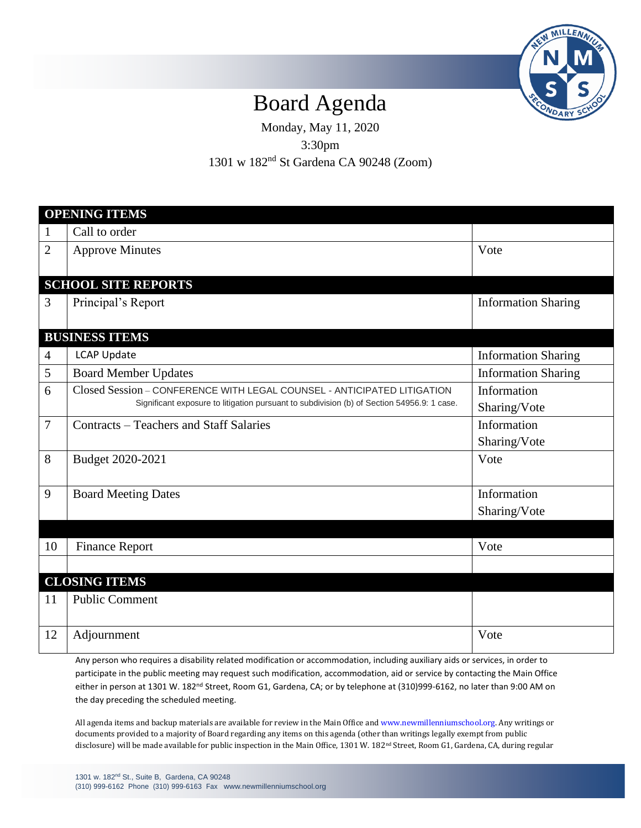

## Board Agenda

Monday, May 11, 2020 3:30pm

1301 w 182nd St Gardena CA 90248 (Zoom)

| <b>OPENING ITEMS</b>       |                                                                                                                                                                       |                             |
|----------------------------|-----------------------------------------------------------------------------------------------------------------------------------------------------------------------|-----------------------------|
| $\mathbf{1}$               | Call to order                                                                                                                                                         |                             |
| $\overline{2}$             | <b>Approve Minutes</b>                                                                                                                                                | Vote                        |
| <b>SCHOOL SITE REPORTS</b> |                                                                                                                                                                       |                             |
| 3                          | Principal's Report                                                                                                                                                    | <b>Information Sharing</b>  |
| <b>BUSINESS ITEMS</b>      |                                                                                                                                                                       |                             |
| $\overline{4}$             | <b>LCAP Update</b>                                                                                                                                                    | <b>Information Sharing</b>  |
| 5                          | <b>Board Member Updates</b>                                                                                                                                           | <b>Information Sharing</b>  |
| 6                          | Closed Session - CONFERENCE WITH LEGAL COUNSEL - ANTICIPATED LITIGATION<br>Significant exposure to litigation pursuant to subdivision (b) of Section 54956.9: 1 case. | Information<br>Sharing/Vote |
| $\overline{7}$             | Contracts – Teachers and Staff Salaries                                                                                                                               | Information<br>Sharing/Vote |
| 8                          | Budget 2020-2021                                                                                                                                                      | Vote                        |
| 9                          | <b>Board Meeting Dates</b>                                                                                                                                            | Information                 |
|                            |                                                                                                                                                                       | Sharing/Vote                |
|                            |                                                                                                                                                                       |                             |
| 10                         | <b>Finance Report</b>                                                                                                                                                 | Vote                        |
|                            |                                                                                                                                                                       |                             |
| <b>CLOSING ITEMS</b>       |                                                                                                                                                                       |                             |
| 11                         | <b>Public Comment</b>                                                                                                                                                 |                             |
| 12                         | Adjournment                                                                                                                                                           | Vote                        |

Any person who requires a disability related modification or accommodation, including auxiliary aids or services, in order to participate in the public meeting may request such modification, accommodation, aid or service by contacting the Main Office either in person at 1301 W. 182<sup>nd</sup> Street, Room G1, Gardena, CA; or by telephone at (310)999-6162, no later than 9:00 AM on the day preceding the scheduled meeting.

All agenda items and backup materials are available for review in the Main Office an[d www.newmillenniumschool.org.](http://www.newmillenniumschool.org/) Any writings or documents provided to a majority of Board regarding any items on this agenda (other than writings legally exempt from public disclosure) will be made available for public inspection in the Main Office, 1301 W. 182nd Street, Room G1, Gardena, CA, during regular